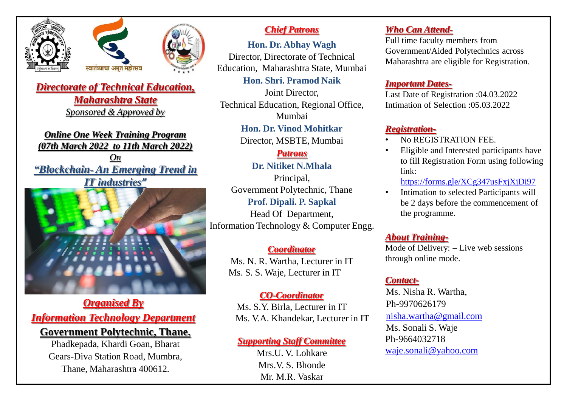



*Directorate of Technical Education, Maharashtra State Sponsored & Approved by* 

*Online One Week Training Program (07th March 2022 to 11th March 2022) On "Blockchain- An Emerging Trend in IT industries"*



*Organised By Information Technology Department* **Government Polytechnic, Thane.**

> Phadkepada, Khardi Goan, Bharat Gears-Diva Station Road, Mumbra, Thane, Maharashtra 400612.

## *Chief Patrons*

**Hon. Dr. Abhay Wagh** Director, Directorate of Technical Education, Maharashtra State, Mumbai

**Hon. Shri. Pramod Naik**

Joint Director, Technical Education, Regional Office, Mumbai

**Hon. Dr. Vinod Mohitkar**

Director, MSBTE, Mumbai

# *Patrons*

**Dr. Nitiket N.Mhala**

Principal, Government Polytechnic, Thane **Prof. Dipali. P. Sapkal** Head Of Department,

Information Technology & Computer Engg.

### *Coordinator*

Ms. N. R. Wartha, Lecturer in IT Ms. S. S. Waje, Lecturer in IT

## *CO-Coordinator*

Ms. S.Y. Birla, Lecturer in IT Ms. V.A. Khandekar, Lecturer in IT

### *Supporting Staff Committee*

Mrs. U. V. Lohkare. Mrs.V. S. Bhonde Mr. M.R. Vaskar

# *Who Can Attend-*

Full time faculty members from Government/Aided Polytechnics across Maharashtra are eligible for Registration.

### *Important Dates-*

Last Date of Registration :04.03.2022 Intimation of Selection :05.03.2022

# *Registration-*

- No REGISTRATION FEE.
- Eligible and Interested participants have to fill Registration Form using following link:

<https://forms.gle/XCg347usFxjXjDi97>

• Intimation to selected Participants will be 2 days before the commencement of the programme.

# *About Training-*

Mode of Delivery: – Live web sessions through online mode.

## *Contact-*

Ms. Nisha R. Wartha, Ph-9970626179 [nisha.wartha@gmail.com](mailto:nisha.wartha@gmail.com) Ms. Sonali S. Waje Ph-9664032718 [waje.sonali@yahoo.com](mailto:waje.sonali@yahoo.com)